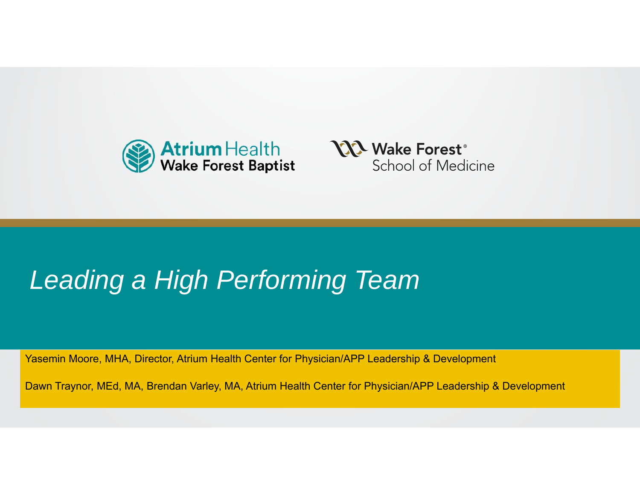



#### **Leading a High Performing Team**

Yasemin Moore, MHA, Director, Atrium Health Center for Physician/APP Leadership & Development

9.2.20 | Department name Dawn Traynor, MEd, MA, Brendan Varley, MA, Atrium Health Center for Physician/APP Leadership & Development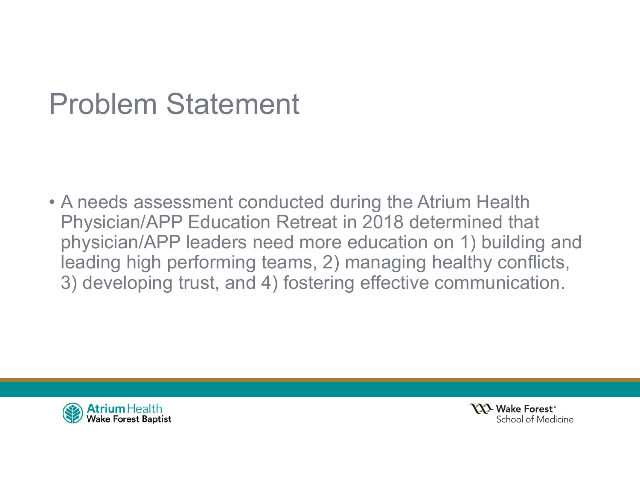### Problem Statement

• A needs assessment conducted during the Atrium Health Physician/APP Education Retreat in 2018 determined that physician/APP leaders need more education on 1) building and leading high performing teams, 2) managing healthy conflicts, 3) developing trust, and 4) fostering effective communication.



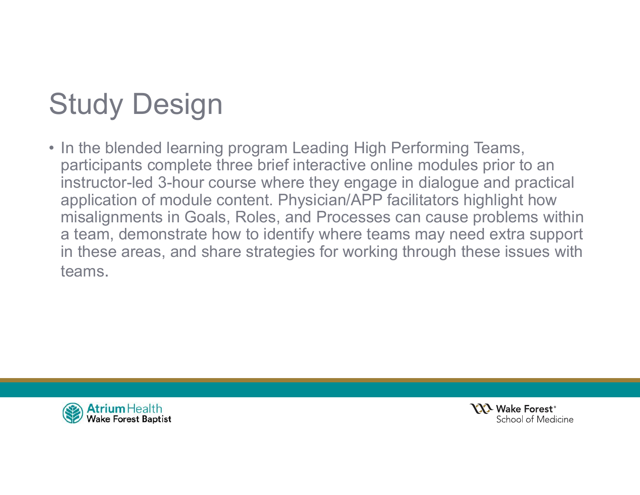# Study Design

• In the blended learning program Leading High Performing Teams, participants complete three brief interactive online modules prior to an instructor-led 3-hour course where they engage in dialogue and practical application of module content. Physician/APP facilitators highlight how misalignments in Goals, Roles, and Processes can cause problems within a team, demonstrate how to identify where teams may need extra support in these areas, and share strategies for working through these issues with teams.



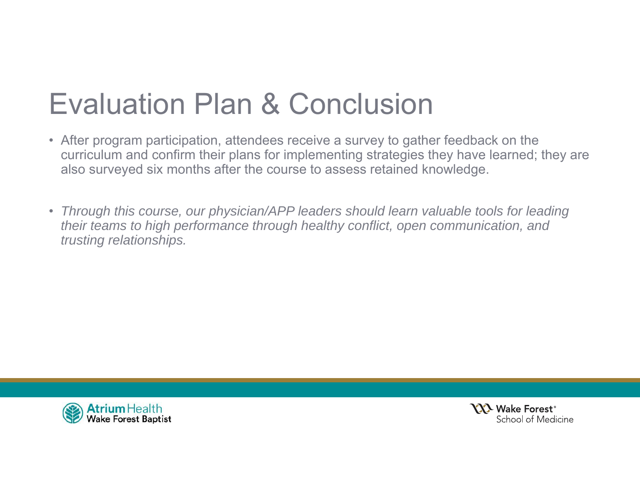## Evaluation Plan & Conclusion

- After program participation, attendees receive a survey to gather feedback on the curriculum and confirm their plans for implementing strategies they have learned; they are also surveyed six months after the course to assess retained knowledge.
- *Through this course, our physician/APP leaders should learn valuable tools for leading their teams to high performance through healthy conflict, open communication, and trusting relationships.*